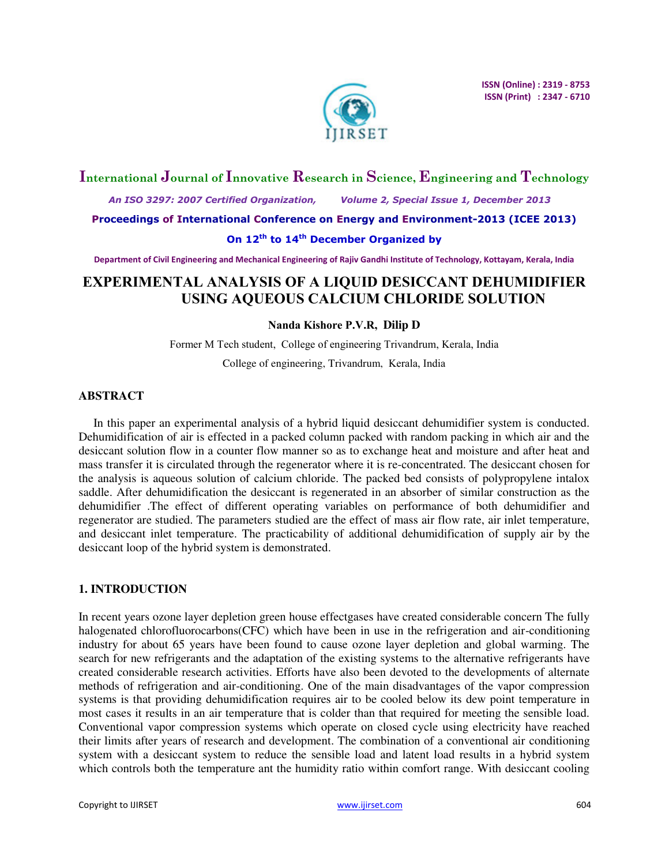

## **International Journal of Innovative Research in Science, Engineering and Technology**

 *An ISO 3297: 2007 Certified Organization, Volume 2, Special Issue 1, December 2013* 

**Proceedings of International Conference on Energy and Environment-2013 (ICEE 2013)** 

## **On 12th to 14th December Organized by**

**Department of Civil Engineering and Mechanical Engineering of Rajiv Gandhi Institute of Technology, Kottayam, Kerala, India** 

# **EXPERIMENTAL ANALYSIS OF A LIQUID DESICCANT DEHUMIDIFIER USING AQUEOUS CALCIUM CHLORIDE SOLUTION**

## **Nanda Kishore P.V.R, Dilip D**

Former M Tech student, College of engineering Trivandrum, Kerala, India College of engineering, Trivandrum, Kerala, India

### **ABSTRACT**

In this paper an experimental analysis of a hybrid liquid desiccant dehumidifier system is conducted. Dehumidification of air is effected in a packed column packed with random packing in which air and the desiccant solution flow in a counter flow manner so as to exchange heat and moisture and after heat and mass transfer it is circulated through the regenerator where it is re-concentrated. The desiccant chosen for the analysis is aqueous solution of calcium chloride. The packed bed consists of polypropylene intalox saddle. After dehumidification the desiccant is regenerated in an absorber of similar construction as the dehumidifier .The effect of different operating variables on performance of both dehumidifier and regenerator are studied. The parameters studied are the effect of mass air flow rate, air inlet temperature, and desiccant inlet temperature. The practicability of additional dehumidification of supply air by the desiccant loop of the hybrid system is demonstrated.

## **1. INTRODUCTION**

In recent years ozone layer depletion green house effectgases have created considerable concern The fully halogenated chlorofluorocarbons(CFC) which have been in use in the refrigeration and air-conditioning industry for about 65 years have been found to cause ozone layer depletion and global warming. The search for new refrigerants and the adaptation of the existing systems to the alternative refrigerants have created considerable research activities. Efforts have also been devoted to the developments of alternate methods of refrigeration and air-conditioning. One of the main disadvantages of the vapor compression systems is that providing dehumidification requires air to be cooled below its dew point temperature in most cases it results in an air temperature that is colder than that required for meeting the sensible load. Conventional vapor compression systems which operate on closed cycle using electricity have reached their limits after years of research and development. The combination of a conventional air conditioning system with a desiccant system to reduce the sensible load and latent load results in a hybrid system which controls both the temperature ant the humidity ratio within comfort range. With desiccant cooling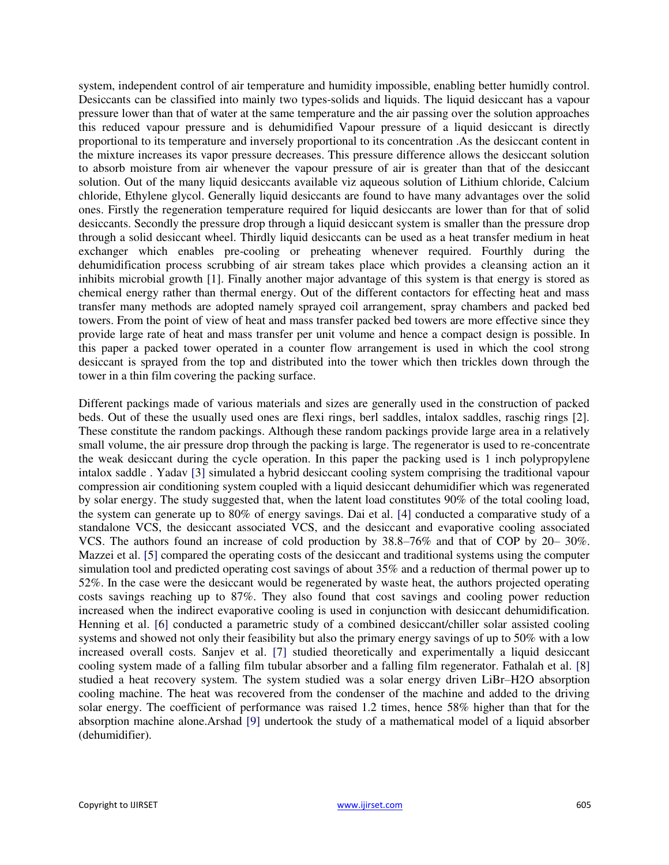system, independent control of air temperature and humidity impossible, enabling better humidly control. Desiccants can be classified into mainly two types-solids and liquids. The liquid desiccant has a vapour pressure lower than that of water at the same temperature and the air passing over the solution approaches this reduced vapour pressure and is dehumidified Vapour pressure of a liquid desiccant is directly proportional to its temperature and inversely proportional to its concentration .As the desiccant content in the mixture increases its vapor pressure decreases. This pressure difference allows the desiccant solution to absorb moisture from air whenever the vapour pressure of air is greater than that of the desiccant solution. Out of the many liquid desiccants available viz aqueous solution of Lithium chloride, Calcium chloride, Ethylene glycol. Generally liquid desiccants are found to have many advantages over the solid ones. Firstly the regeneration temperature required for liquid desiccants are lower than for that of solid desiccants. Secondly the pressure drop through a liquid desiccant system is smaller than the pressure drop through a solid desiccant wheel. Thirdly liquid desiccants can be used as a heat transfer medium in heat exchanger which enables pre-cooling or preheating whenever required. Fourthly during the dehumidification process scrubbing of air stream takes place which provides a cleansing action an it inhibits microbial growth [1]. Finally another major advantage of this system is that energy is stored as chemical energy rather than thermal energy. Out of the different contactors for effecting heat and mass transfer many methods are adopted namely sprayed coil arrangement, spray chambers and packed bed towers. From the point of view of heat and mass transfer packed bed towers are more effective since they provide large rate of heat and mass transfer per unit volume and hence a compact design is possible. In this paper a packed tower operated in a counter flow arrangement is used in which the cool strong desiccant is sprayed from the top and distributed into the tower which then trickles down through the tower in a thin film covering the packing surface.

Different packings made of various materials and sizes are generally used in the construction of packed beds. Out of these the usually used ones are flexi rings, berl saddles, intalox saddles, raschig rings [2]. These constitute the random packings. Although these random packings provide large area in a relatively small volume, the air pressure drop through the packing is large. The regenerator is used to re-concentrate the weak desiccant during the cycle operation. In this paper the packing used is 1 inch polypropylene intalox saddle . Yadav [3] simulated a hybrid desiccant cooling system comprising the traditional vapour compression air conditioning system coupled with a liquid desiccant dehumidifier which was regenerated by solar energy. The study suggested that, when the latent load constitutes 90% of the total cooling load, the system can generate up to 80% of energy savings. Dai et al. [4] conducted a comparative study of a standalone VCS, the desiccant associated VCS, and the desiccant and evaporative cooling associated VCS. The authors found an increase of cold production by 38.8–76% and that of COP by 20– 30%. Mazzei et al. [5] compared the operating costs of the desiccant and traditional systems using the computer simulation tool and predicted operating cost savings of about 35% and a reduction of thermal power up to 52%. In the case were the desiccant would be regenerated by waste heat, the authors projected operating costs savings reaching up to 87%. They also found that cost savings and cooling power reduction increased when the indirect evaporative cooling is used in conjunction with desiccant dehumidification. Henning et al. [6] conducted a parametric study of a combined desiccant/chiller solar assisted cooling systems and showed not only their feasibility but also the primary energy savings of up to 50% with a low increased overall costs. Sanjev et al. [7] studied theoretically and experimentally a liquid desiccant cooling system made of a falling film tubular absorber and a falling film regenerator. Fathalah et al. [8] studied a heat recovery system. The system studied was a solar energy driven LiBr–H2O absorption cooling machine. The heat was recovered from the condenser of the machine and added to the driving solar energy. The coefficient of performance was raised 1.2 times, hence 58% higher than that for the absorption machine alone.Arshad [9] undertook the study of a mathematical model of a liquid absorber (dehumidifier).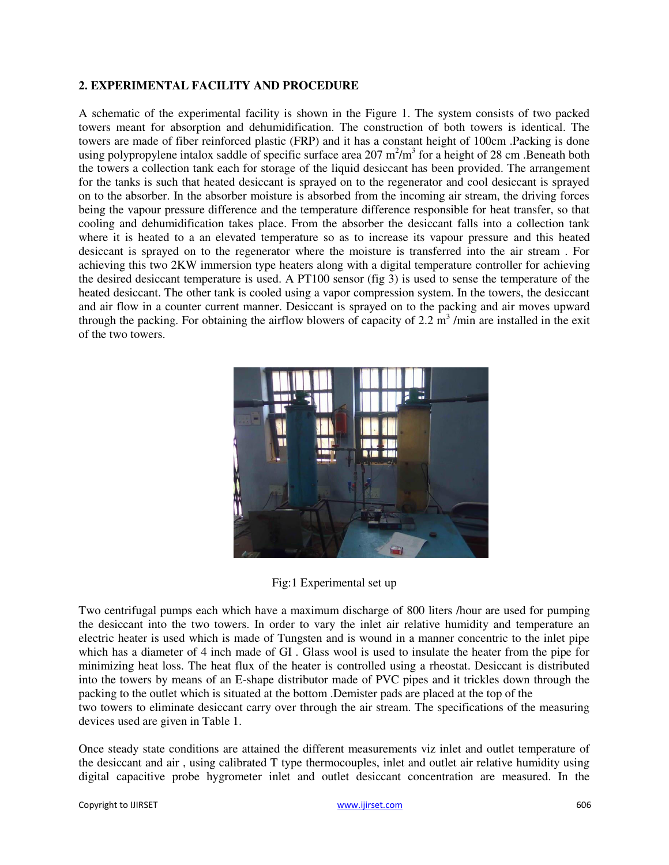#### **2. EXPERIMENTAL FACILITY AND PROCEDURE**

A schematic of the experimental facility is shown in the Figure 1. The system consists of two packed towers meant for absorption and dehumidification. The construction of both towers is identical. The towers are made of fiber reinforced plastic (FRP) and it has a constant height of 100cm .Packing is done using polypropylene intalox saddle of specific surface area  $207 \text{ m}^2/\text{m}^3$  for a height of 28 cm. Beneath both the towers a collection tank each for storage of the liquid desiccant has been provided. The arrangement for the tanks is such that heated desiccant is sprayed on to the regenerator and cool desiccant is sprayed on to the absorber. In the absorber moisture is absorbed from the incoming air stream, the driving forces being the vapour pressure difference and the temperature difference responsible for heat transfer, so that cooling and dehumidification takes place. From the absorber the desiccant falls into a collection tank where it is heated to a an elevated temperature so as to increase its vapour pressure and this heated desiccant is sprayed on to the regenerator where the moisture is transferred into the air stream . For achieving this two 2KW immersion type heaters along with a digital temperature controller for achieving the desired desiccant temperature is used. A PT100 sensor (fig 3) is used to sense the temperature of the heated desiccant. The other tank is cooled using a vapor compression system. In the towers, the desiccant and air flow in a counter current manner. Desiccant is sprayed on to the packing and air moves upward through the packing. For obtaining the airflow blowers of capacity of 2.2  $\text{m}^3$ /min are installed in the exit of the two towers.



Fig:1 Experimental set up

Two centrifugal pumps each which have a maximum discharge of 800 liters /hour are used for pumping the desiccant into the two towers. In order to vary the inlet air relative humidity and temperature an electric heater is used which is made of Tungsten and is wound in a manner concentric to the inlet pipe which has a diameter of 4 inch made of GI . Glass wool is used to insulate the heater from the pipe for minimizing heat loss. The heat flux of the heater is controlled using a rheostat. Desiccant is distributed into the towers by means of an E-shape distributor made of PVC pipes and it trickles down through the packing to the outlet which is situated at the bottom .Demister pads are placed at the top of the two towers to eliminate desiccant carry over through the air stream. The specifications of the measuring devices used are given in Table 1.

Once steady state conditions are attained the different measurements viz inlet and outlet temperature of the desiccant and air , using calibrated T type thermocouples, inlet and outlet air relative humidity using digital capacitive probe hygrometer inlet and outlet desiccant concentration are measured. In the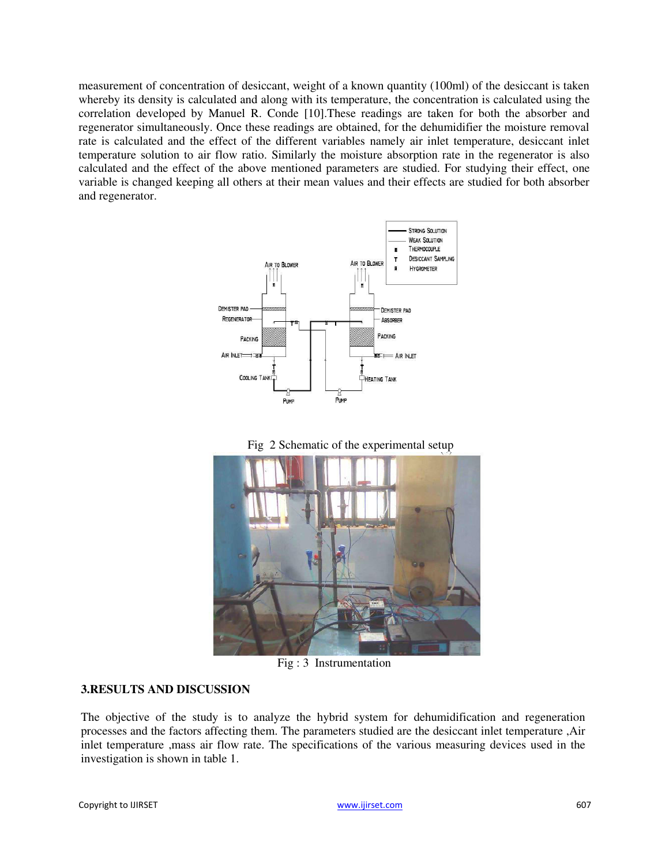measurement of concentration of desiccant, weight of a known quantity (100ml) of the desiccant is taken whereby its density is calculated and along with its temperature, the concentration is calculated using the correlation developed by Manuel R. Conde [10].These readings are taken for both the absorber and regenerator simultaneously. Once these readings are obtained, for the dehumidifier the moisture removal rate is calculated and the effect of the different variables namely air inlet temperature, desiccant inlet temperature solution to air flow ratio. Similarly the moisture absorption rate in the regenerator is also calculated and the effect of the above mentioned parameters are studied. For studying their effect, one variable is changed keeping all others at their mean values and their effects are studied for both absorber and regenerator.







Fig : 3 Instrumentation

## **3.RESULTS AND DISCUSSION**

The objective of the study is to analyze the hybrid system for dehumidification and regeneration processes and the factors affecting them. The parameters studied are the desiccant inlet temperature ,Air inlet temperature ,mass air flow rate. The specifications of the various measuring devices used in the investigation is shown in table 1.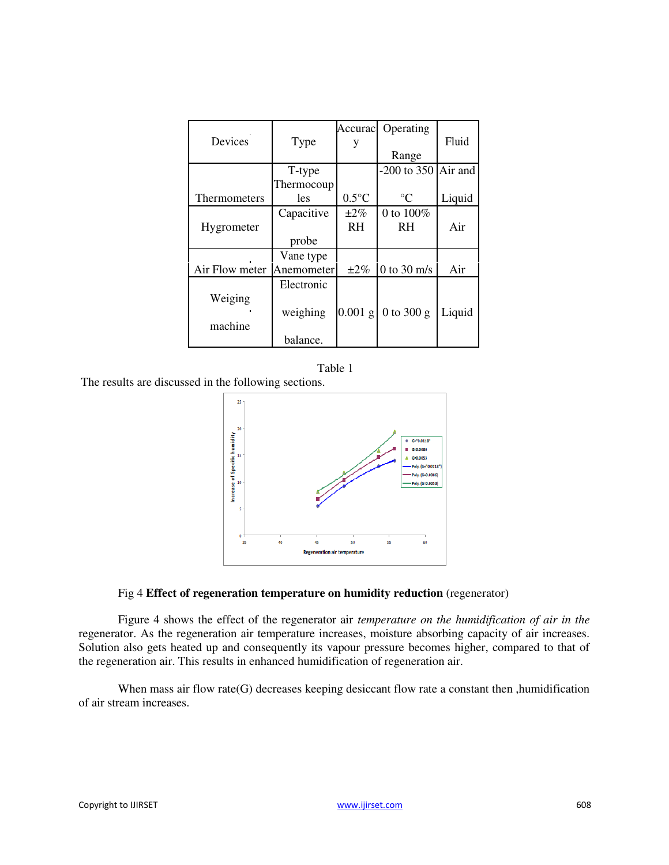|                |            | Accuracl        | Operating       |         |
|----------------|------------|-----------------|-----------------|---------|
| Devices        | Type       |                 |                 | Fluid   |
|                |            |                 | Range           |         |
|                | T-type     |                 | $-200$ to 350   | Air and |
|                | Thermocoup |                 |                 |         |
| Thermometers   | <i>les</i> | $0.5^{\circ}$ C | $\rm ^{\circ}C$ | Liquid  |
|                | Capacitive | $\pm 2\%$       | 0 to $100\%$    |         |
| Hygrometer     |            | <b>RH</b>       | <b>RH</b>       | Air     |
|                | probe      |                 |                 |         |
|                | Vane type  |                 |                 |         |
| Air Flow meter | Anemometer | $\pm 2\%$       | $0$ to $30$ m/s | Air     |
|                | Electronic |                 |                 |         |
| Weiging        |            |                 |                 |         |
|                | weighing   | $0.001$ g       | 0 to 300 $g$    | Liquid  |
| machine        |            |                 |                 |         |
|                | balance.   |                 |                 |         |



The results are discussed in the following sections.



#### Fig 4 **Effect of regeneration temperature on humidity reduction** (regenerator)

Figure 4 shows the effect of the regenerator air *temperature on the humidification of air in the* regenerator. As the regeneration air temperature increases, moisture absorbing capacity of air increases. Solution also gets heated up and consequently its vapour pressure becomes higher, compared to that of the regeneration air. This results in enhanced humidification of regeneration air.

When mass air flow rate(G) decreases keeping desiccant flow rate a constant then , humidification of air stream increases.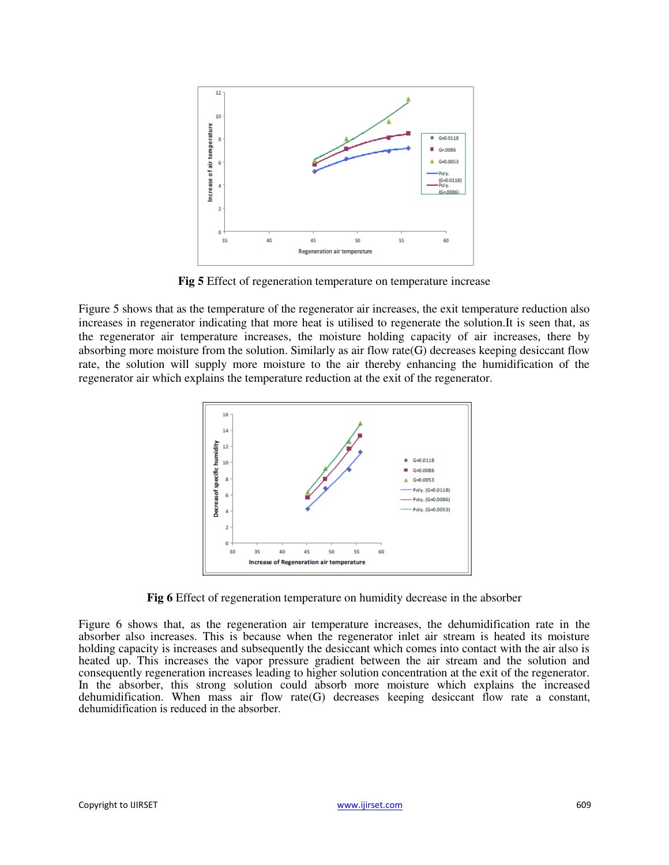

Fig 5 Effect of regeneration temperature on temperature increase

Figure 5 shows that as the temperature of the regenerator air increases, the exit temperature reduction also increases in regenerator indicating that more heat is utilised to regenerate the solution.It is seen that, as the regenerator air temperature increases, the moisture holding capacity of air increases, there by absorbing more moisture from the solution. Similarly as air flow rate(G) decreases keeping desiccant flow rate, the solution will supply more moisture to the air thereby enhancing the humidification of the regenerator air which explains the temperature reduction at the exit of the regenerator.



**Fig 6** Effect of regeneration temperature on humidity decrease in the absorber

Figure 6 shows that, as the regeneration air temperature increases, the dehumidification rate in the absorber also increases. This is because when the regenerator inlet air stream is heated its moisture holding capacity is increases and subsequently the desiccant which comes into contact with the air also is heated up. This increases the vapor pressure gradient between the air stream and the solution and consequently regeneration increases leading to higher solution concentration at the exit of the regenerator. In the absorber, this strong solution could absorb more moisture which explains the increased dehumidification. When mass air flow rate(G) decreases keeping desiccant flow rate a constant, dehumidification is reduced in the absorber.